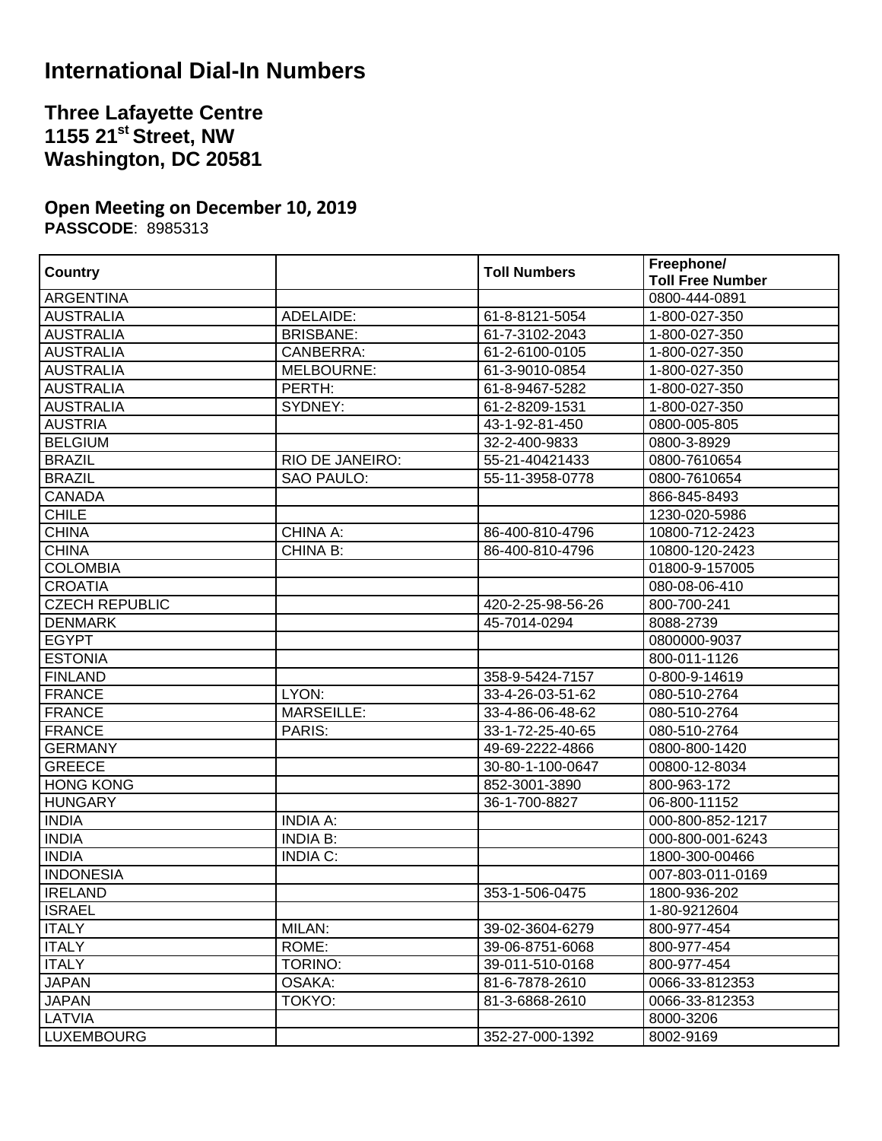## **International Dial-In Numbers**

## **Three Lafayette Centre 1155 21st Street, NW Washington, DC 20581**

## **Open Meeting on December 10, 2019**

**PASSCODE**: 8985313

| <b>Country</b>        |                   | <b>Toll Numbers</b> | Freephone/<br><b>Toll Free Number</b> |
|-----------------------|-------------------|---------------------|---------------------------------------|
| <b>ARGENTINA</b>      |                   |                     | 0800-444-0891                         |
| <b>AUSTRALIA</b>      | ADELAIDE:         | 61-8-8121-5054      | 1-800-027-350                         |
| <b>AUSTRALIA</b>      | <b>BRISBANE:</b>  | 61-7-3102-2043      | 1-800-027-350                         |
| <b>AUSTRALIA</b>      | CANBERRA:         | 61-2-6100-0105      | 1-800-027-350                         |
| <b>AUSTRALIA</b>      | MELBOURNE:        | 61-3-9010-0854      | 1-800-027-350                         |
| <b>AUSTRALIA</b>      | PERTH:            | 61-8-9467-5282      | 1-800-027-350                         |
| <b>AUSTRALIA</b>      | SYDNEY:           | 61-2-8209-1531      | 1-800-027-350                         |
| <b>AUSTRIA</b>        |                   | 43-1-92-81-450      | 0800-005-805                          |
| <b>BELGIUM</b>        |                   | 32-2-400-9833       | 0800-3-8929                           |
| <b>BRAZIL</b>         | RIO DE JANEIRO:   | 55-21-40421433      | 0800-7610654                          |
| <b>BRAZIL</b>         | SAO PAULO:        | 55-11-3958-0778     | 0800-7610654                          |
| <b>CANADA</b>         |                   |                     | 866-845-8493                          |
| <b>CHILE</b>          |                   |                     | 1230-020-5986                         |
| <b>CHINA</b>          | CHINA A:          | 86-400-810-4796     | 10800-712-2423                        |
| <b>CHINA</b>          | CHINA B:          | 86-400-810-4796     | 10800-120-2423                        |
| <b>COLOMBIA</b>       |                   |                     | 01800-9-157005                        |
| <b>CROATIA</b>        |                   |                     | 080-08-06-410                         |
| <b>CZECH REPUBLIC</b> |                   | 420-2-25-98-56-26   | 800-700-241                           |
| <b>DENMARK</b>        |                   | 45-7014-0294        | 8088-2739                             |
| <b>EGYPT</b>          |                   |                     | 0800000-9037                          |
| <b>ESTONIA</b>        |                   |                     | 800-011-1126                          |
| <b>FINLAND</b>        |                   | 358-9-5424-7157     | 0-800-9-14619                         |
| <b>FRANCE</b>         | LYON:             | 33-4-26-03-51-62    | 080-510-2764                          |
| <b>FRANCE</b>         | <b>MARSEILLE:</b> | 33-4-86-06-48-62    | 080-510-2764                          |
| <b>FRANCE</b>         | PARIS:            | 33-1-72-25-40-65    | 080-510-2764                          |
| <b>GERMANY</b>        |                   | 49-69-2222-4866     | 0800-800-1420                         |
| <b>GREECE</b>         |                   | 30-80-1-100-0647    | 00800-12-8034                         |
| <b>HONG KONG</b>      |                   | 852-3001-3890       | 800-963-172                           |
| <b>HUNGARY</b>        |                   | 36-1-700-8827       | 06-800-11152                          |
| <b>INDIA</b>          | <b>INDIA A:</b>   |                     | 000-800-852-1217                      |
| <b>INDIA</b>          | <b>INDIA B:</b>   |                     | 000-800-001-6243                      |
| <b>INDIA</b>          | <b>INDIA C:</b>   |                     | 1800-300-00466                        |
| <b>INDONESIA</b>      |                   |                     | 007-803-011-0169                      |
| <b>IRELAND</b>        |                   | 353-1-506-0475      | 1800-936-202                          |
| <b>ISRAEL</b>         |                   |                     | 1-80-9212604                          |
| <b>ITALY</b>          | MILAN:            | 39-02-3604-6279     | 800-977-454                           |
| <b>ITALY</b>          | ROME:             | 39-06-8751-6068     | 800-977-454                           |
| <b>ITALY</b>          | TORINO:           | 39-011-510-0168     | 800-977-454                           |
| <b>JAPAN</b>          | OSAKA:            | 81-6-7878-2610      | 0066-33-812353                        |
| <b>JAPAN</b>          | TOKYO:            | 81-3-6868-2610      | 0066-33-812353                        |
| LATVIA                |                   |                     | 8000-3206                             |
| <b>LUXEMBOURG</b>     |                   | 352-27-000-1392     | 8002-9169                             |